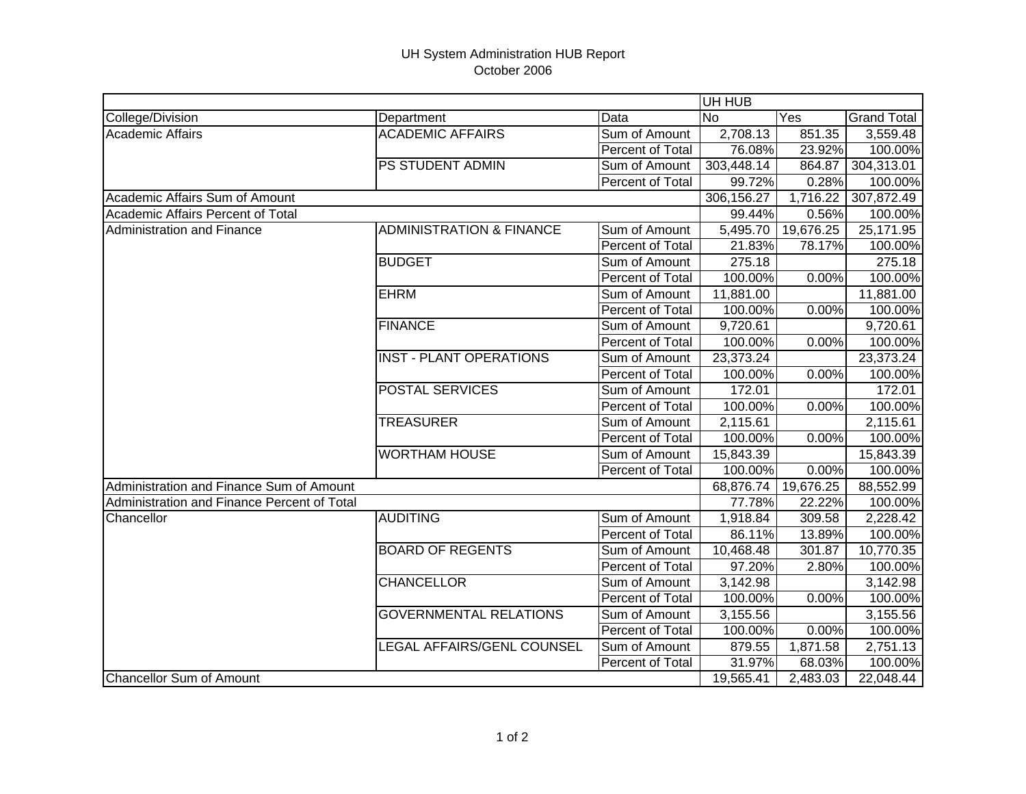## UH System Administration HUB Report October 2006

|                                             |                                     |                         |            | UH HUB            |                    |  |  |
|---------------------------------------------|-------------------------------------|-------------------------|------------|-------------------|--------------------|--|--|
| College/Division                            | Department                          | Data                    | <b>No</b>  | $\overline{Y}$ es | <b>Grand Total</b> |  |  |
| <b>Academic Affairs</b>                     | <b>ACADEMIC AFFAIRS</b>             | Sum of Amount           | 2,708.13   | 851.35            | 3,559.48           |  |  |
|                                             |                                     | Percent of Total        | 76.08%     | $23.92\%$         | 100.00%            |  |  |
|                                             | <b>PS STUDENT ADMIN</b>             | Sum of Amount           | 303,448.14 | 864.87            | 304,313.01         |  |  |
|                                             |                                     | Percent of Total        | 99.72%     | 0.28%             | 100.00%            |  |  |
| Academic Affairs Sum of Amount              |                                     |                         | 306,156.27 | 1,716.22          | 307,872.49         |  |  |
| Academic Affairs Percent of Total           |                                     |                         | 99.44%     | 0.56%             | 100.00%            |  |  |
| Administration and Finance                  | <b>ADMINISTRATION &amp; FINANCE</b> | Sum of Amount           | 5,495.70   | 19,676.25         | 25,171.95          |  |  |
|                                             |                                     | Percent of Total        | 21.83%     | 78.17%            | 100.00%            |  |  |
|                                             | <b>BUDGET</b>                       | Sum of Amount           | 275.18     |                   | 275.18             |  |  |
|                                             |                                     | Percent of Total        | 100.00%    | 0.00%             | 100.00%            |  |  |
|                                             | <b>EHRM</b>                         | Sum of Amount           | 11,881.00  |                   | 11,881.00          |  |  |
|                                             |                                     | Percent of Total        | 100.00%    | 0.00%             | 100.00%            |  |  |
|                                             | <b>FINANCE</b>                      | Sum of Amount           | 9,720.61   |                   | 9,720.61           |  |  |
|                                             |                                     | Percent of Total        | 100.00%    | 0.00%             | 100.00%            |  |  |
|                                             | <b>INST - PLANT OPERATIONS</b>      | Sum of Amount           | 23,373.24  |                   | 23,373.24          |  |  |
|                                             |                                     | Percent of Total        | 100.00%    | 0.00%             | 100.00%            |  |  |
|                                             | <b>POSTAL SERVICES</b>              | Sum of Amount           | 172.01     |                   | 172.01             |  |  |
|                                             |                                     | Percent of Total        | 100.00%    | 0.00%             | 100.00%            |  |  |
|                                             | <b>TREASURER</b>                    | Sum of Amount           | 2,115.61   |                   | 2,115.61           |  |  |
|                                             |                                     | Percent of Total        | 100.00%    | 0.00%             | 100.00%            |  |  |
|                                             | <b>WORTHAM HOUSE</b>                | Sum of Amount           | 15,843.39  |                   | 15,843.39          |  |  |
|                                             |                                     | Percent of Total        | 100.00%    | 0.00%             | 100.00%            |  |  |
| Administration and Finance Sum of Amount    |                                     |                         | 68,876.74  | 19,676.25         | 88,552.99          |  |  |
| Administration and Finance Percent of Total |                                     |                         | 77.78%     | 22.22%            | 100.00%            |  |  |
| Chancellor                                  | <b>AUDITING</b>                     | Sum of Amount           | 1,918.84   | 309.58            | 2,228.42           |  |  |
|                                             |                                     | Percent of Total        | 86.11%     | 13.89%            | 100.00%            |  |  |
|                                             | <b>BOARD OF REGENTS</b>             | Sum of Amount           | 10,468.48  | 301.87            | 10,770.35          |  |  |
|                                             |                                     | <b>Percent of Total</b> | 97.20%     | 2.80%             | 100.00%            |  |  |
|                                             | <b>CHANCELLOR</b>                   | Sum of Amount           | 3,142.98   |                   | 3,142.98           |  |  |
|                                             |                                     | Percent of Total        | 100.00%    | 0.00%             | 100.00%            |  |  |
|                                             | <b>GOVERNMENTAL RELATIONS</b>       | Sum of Amount           | 3,155.56   |                   | 3,155.56           |  |  |
|                                             |                                     | Percent of Total        | 100.00%    | 0.00%             | 100.00%            |  |  |
|                                             | LEGAL AFFAIRS/GENL COUNSEL          | Sum of Amount           | 879.55     | 1,871.58          | 2,751.13           |  |  |
|                                             |                                     | Percent of Total        | 31.97%     | 68.03%            | 100.00%            |  |  |
| <b>Chancellor Sum of Amount</b>             |                                     |                         | 19,565.41  | 2,483.03          | 22,048.44          |  |  |